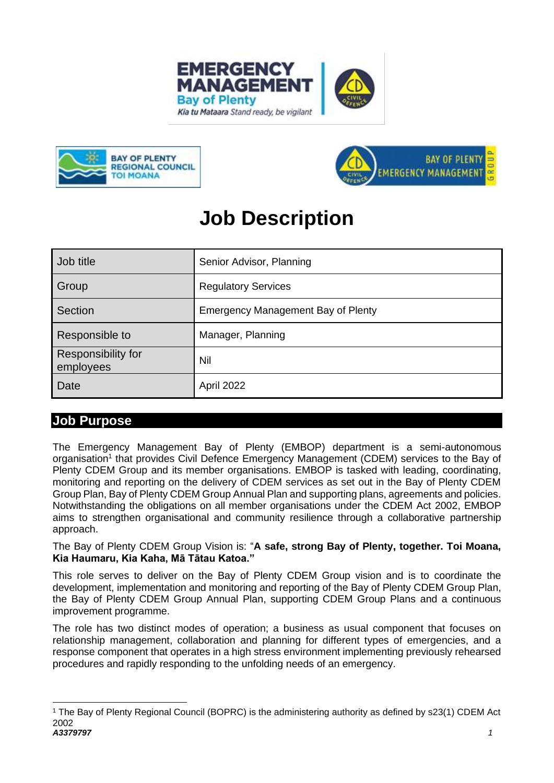





# **Job Description**

| Job title                       | Senior Advisor, Planning           |
|---------------------------------|------------------------------------|
| Group                           | <b>Regulatory Services</b>         |
| Section                         | Emergency Management Bay of Plenty |
| Responsible to                  | Manager, Planning                  |
| Responsibility for<br>employees | Nil                                |
| Date                            | April 2022                         |

### **Job Purpose**

The Emergency Management Bay of Plenty (EMBOP) department is a semi-autonomous organisation<sup>1</sup> that provides Civil Defence Emergency Management (CDEM) services to the Bay of Plenty CDEM Group and its member organisations. EMBOP is tasked with leading, coordinating, monitoring and reporting on the delivery of CDEM services as set out in the Bay of Plenty CDEM Group Plan, Bay of Plenty CDEM Group Annual Plan and supporting plans, agreements and policies. Notwithstanding the obligations on all member organisations under the CDEM Act 2002, EMBOP aims to strengthen organisational and community resilience through a collaborative partnership approach.

The Bay of Plenty CDEM Group Vision is: "**A safe, strong Bay of Plenty, together. Toi Moana, Kia Haumaru, Kia Kaha, Mā Tātau Katoa."**

This role serves to deliver on the Bay of Plenty CDEM Group vision and is to coordinate the development, implementation and monitoring and reporting of the Bay of Plenty CDEM Group Plan, the Bay of Plenty CDEM Group Annual Plan, supporting CDEM Group Plans and a continuous improvement programme.

The role has two distinct modes of operation; a business as usual component that focuses on relationship management, collaboration and planning for different types of emergencies, and a response component that operates in a high stress environment implementing previously rehearsed procedures and rapidly responding to the unfolding needs of an emergency.

*A3379797 1* <sup>1</sup> The Bay of Plenty Regional Council (BOPRC) is the administering authority as defined by s23(1) CDEM Act 2002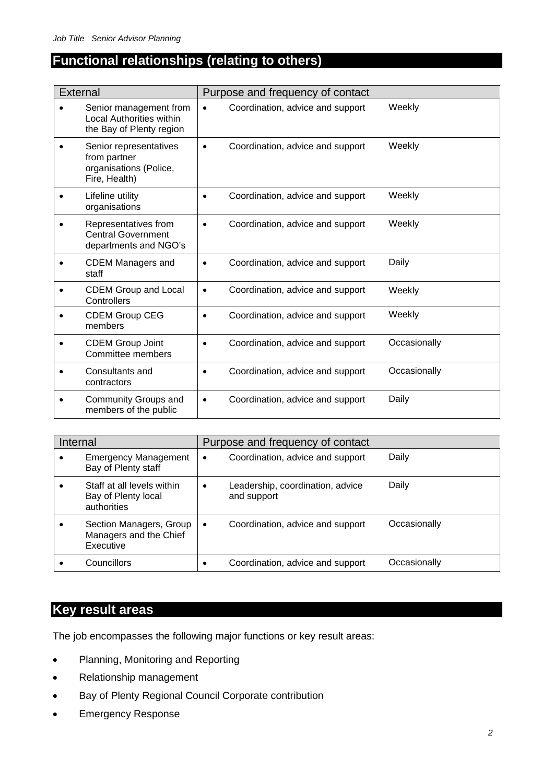## **Functional relationships (relating to others)**

| <b>External</b> |                                                                                       |           | Purpose and frequency of contact |              |
|-----------------|---------------------------------------------------------------------------------------|-----------|----------------------------------|--------------|
|                 | Senior management from<br><b>Local Authorities within</b><br>the Bay of Plenty region | $\bullet$ | Coordination, advice and support | Weekly       |
|                 | Senior representatives<br>from partner<br>organisations (Police,<br>Fire, Health)     | ٠         | Coordination, advice and support | Weekly       |
|                 | Lifeline utility<br>organisations                                                     |           | Coordination, advice and support | Weekly       |
|                 | Representatives from<br><b>Central Government</b><br>departments and NGO's            |           | Coordination, advice and support | Weekly       |
|                 | <b>CDEM Managers and</b><br>staff                                                     | $\bullet$ | Coordination, advice and support | Daily        |
|                 | <b>CDEM Group and Local</b><br>Controllers                                            | $\bullet$ | Coordination, advice and support | Weekly       |
|                 | <b>CDEM Group CEG</b><br>members                                                      |           | Coordination, advice and support | Weekly       |
|                 | <b>CDEM Group Joint</b><br>Committee members                                          |           | Coordination, advice and support | Occasionally |
|                 | Consultants and<br>contractors                                                        | ٠         | Coordination, advice and support | Occasionally |
|                 | Community Groups and<br>members of the public                                         | $\bullet$ | Coordination, advice and support | Daily        |

| Internal<br>Purpose and frequency of contact |                                                                  |           |                                                 |              |
|----------------------------------------------|------------------------------------------------------------------|-----------|-------------------------------------------------|--------------|
| ٠                                            | <b>Emergency Management</b><br>Bay of Plenty staff               | $\bullet$ | Coordination, advice and support                | Daily        |
|                                              | Staff at all levels within<br>Bay of Plenty local<br>authorities | $\bullet$ | Leadership, coordination, advice<br>and support | Daily        |
|                                              | Section Managers, Group<br>Managers and the Chief<br>Executive   | $\bullet$ | Coordination, advice and support                | Occasionally |
|                                              | Councillors                                                      |           | Coordination, advice and support                | Occasionally |

## **Key result areas**

The job encompasses the following major functions or key result areas:

- Planning, Monitoring and Reporting
- Relationship management
- Bay of Plenty Regional Council Corporate contribution
- Emergency Response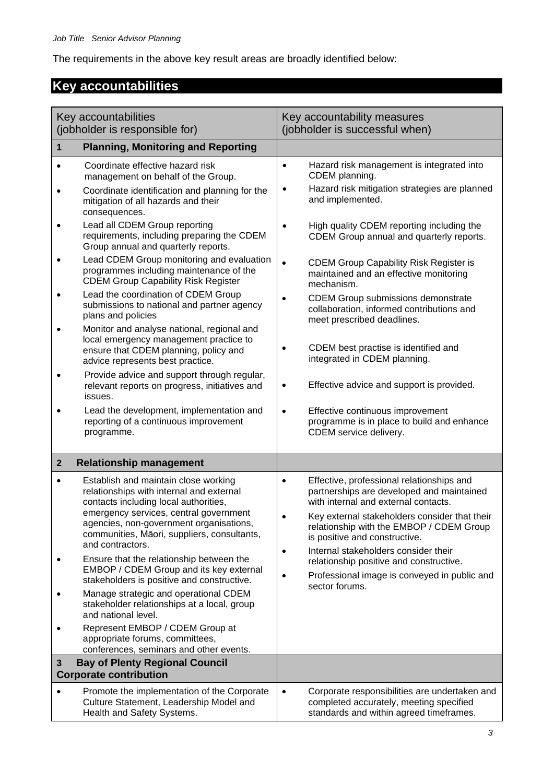The requirements in the above key result areas are broadly identified below:

## **Key accountabilities**

| Key accountabilities<br>(jobholder is responsible for) |                                                                                                                                                                                                                | Key accountability measures<br>(jobholder is successful when)                                                                                                                                                                            |
|--------------------------------------------------------|----------------------------------------------------------------------------------------------------------------------------------------------------------------------------------------------------------------|------------------------------------------------------------------------------------------------------------------------------------------------------------------------------------------------------------------------------------------|
| 1                                                      | <b>Planning, Monitoring and Reporting</b>                                                                                                                                                                      |                                                                                                                                                                                                                                          |
| $\bullet$<br>$\bullet$                                 | Coordinate effective hazard risk<br>management on behalf of the Group.<br>Coordinate identification and planning for the<br>mitigation of all hazards and their<br>consequences.                               | Hazard risk management is integrated into<br>$\bullet$<br>CDEM planning.<br>Hazard risk mitigation strategies are planned<br>$\bullet$<br>and implemented.                                                                               |
|                                                        | Lead all CDEM Group reporting<br>requirements, including preparing the CDEM<br>Group annual and quarterly reports.                                                                                             | High quality CDEM reporting including the<br>CDEM Group annual and quarterly reports.                                                                                                                                                    |
|                                                        | Lead CDEM Group monitoring and evaluation<br>programmes including maintenance of the<br><b>CDEM Group Capability Risk Register</b>                                                                             | <b>CDEM Group Capability Risk Register is</b><br>$\bullet$<br>maintained and an effective monitoring<br>mechanism.                                                                                                                       |
|                                                        | Lead the coordination of CDEM Group<br>submissions to national and partner agency<br>plans and policies                                                                                                        | <b>CDEM Group submissions demonstrate</b><br>$\bullet$<br>collaboration, informed contributions and<br>meet prescribed deadlines.                                                                                                        |
|                                                        | Monitor and analyse national, regional and<br>local emergency management practice to<br>ensure that CDEM planning, policy and<br>advice represents best practice.                                              | CDEM best practise is identified and<br>$\bullet$<br>integrated in CDEM planning.                                                                                                                                                        |
| $\bullet$                                              | Provide advice and support through regular,<br>relevant reports on progress, initiatives and<br>issues.                                                                                                        | Effective advice and support is provided.<br>$\bullet$                                                                                                                                                                                   |
|                                                        | Lead the development, implementation and<br>reporting of a continuous improvement<br>programme.                                                                                                                | Effective continuous improvement<br>$\bullet$<br>programme is in place to build and enhance<br>CDEM service delivery.                                                                                                                    |
| $\mathbf{2}$                                           | <b>Relationship management</b>                                                                                                                                                                                 |                                                                                                                                                                                                                                          |
| $\bullet$                                              | Establish and maintain close working<br>relationships with internal and external<br>contacts including local authorities,<br>emergency services, central government<br>agencies, non-government organisations, | Effective, professional relationships and<br>$\bullet$<br>partnerships are developed and maintained<br>with internal and external contacts.<br>Key external stakeholders consider that their<br>relationship with the EMBOP / CDEM Group |
|                                                        | communities, Māori, suppliers, consultants,<br>and contractors.                                                                                                                                                | is positive and constructive.<br>Internal stakeholders consider their                                                                                                                                                                    |
|                                                        | Ensure that the relationship between the<br>EMBOP / CDEM Group and its key external<br>stakeholders is positive and constructive.                                                                              | $\bullet$<br>relationship positive and constructive.<br>Professional image is conveyed in public and<br>$\bullet$<br>sector forums.                                                                                                      |
|                                                        | Manage strategic and operational CDEM<br>stakeholder relationships at a local, group<br>and national level.                                                                                                    |                                                                                                                                                                                                                                          |
|                                                        | Represent EMBOP / CDEM Group at<br>appropriate forums, committees,<br>conferences, seminars and other events.                                                                                                  |                                                                                                                                                                                                                                          |
| 3                                                      | <b>Bay of Plenty Regional Council</b><br><b>Corporate contribution</b>                                                                                                                                         |                                                                                                                                                                                                                                          |
|                                                        | Promote the implementation of the Corporate<br>Culture Statement, Leadership Model and<br>Health and Safety Systems.                                                                                           | Corporate responsibilities are undertaken and<br>$\bullet$<br>completed accurately, meeting specified<br>standards and within agreed timeframes.                                                                                         |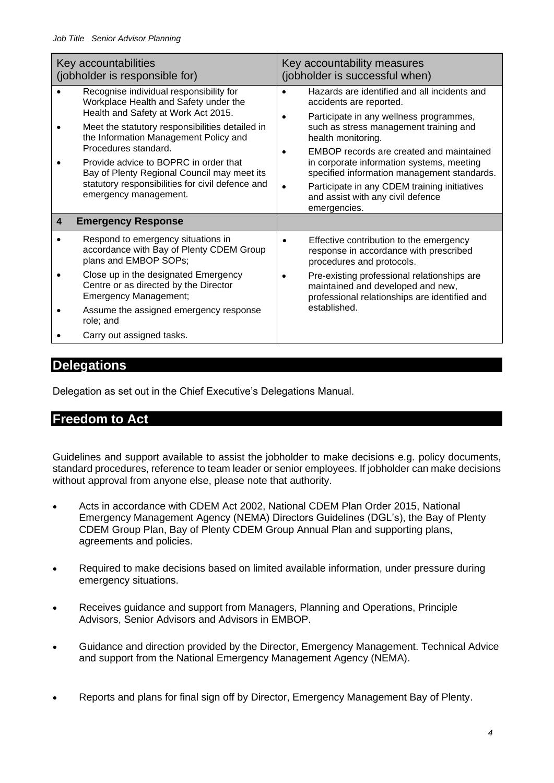|   | Key accountabilities<br>(jobholder is responsible for)                                                                                                                                                                                                                                                                                                                                                           | Key accountability measures<br>(jobholder is successful when)                                                                                                                                                                                                                                                                                                                                                                                |
|---|------------------------------------------------------------------------------------------------------------------------------------------------------------------------------------------------------------------------------------------------------------------------------------------------------------------------------------------------------------------------------------------------------------------|----------------------------------------------------------------------------------------------------------------------------------------------------------------------------------------------------------------------------------------------------------------------------------------------------------------------------------------------------------------------------------------------------------------------------------------------|
|   | Recognise individual responsibility for<br>Workplace Health and Safety under the<br>Health and Safety at Work Act 2015.<br>Meet the statutory responsibilities detailed in<br>the Information Management Policy and<br>Procedures standard.<br>Provide advice to BOPRC in order that<br>Bay of Plenty Regional Council may meet its<br>statutory responsibilities for civil defence and<br>emergency management. | Hazards are identified and all incidents and<br>accidents are reported.<br>Participate in any wellness programmes,<br>such as stress management training and<br>health monitoring.<br>EMBOP records are created and maintained<br>in corporate information systems, meeting<br>specified information management standards.<br>Participate in any CDEM training initiatives<br>$\bullet$<br>and assist with any civil defence<br>emergencies. |
| 4 | <b>Emergency Response</b>                                                                                                                                                                                                                                                                                                                                                                                        |                                                                                                                                                                                                                                                                                                                                                                                                                                              |
|   | Respond to emergency situations in<br>accordance with Bay of Plenty CDEM Group<br>plans and EMBOP SOPs;                                                                                                                                                                                                                                                                                                          | Effective contribution to the emergency<br>response in accordance with prescribed<br>procedures and protocols.                                                                                                                                                                                                                                                                                                                               |
|   | Close up in the designated Emergency<br>Centre or as directed by the Director<br><b>Emergency Management;</b>                                                                                                                                                                                                                                                                                                    | Pre-existing professional relationships are<br>maintained and developed and new,<br>professional relationships are identified and                                                                                                                                                                                                                                                                                                            |
|   | Assume the assigned emergency response<br>role; and                                                                                                                                                                                                                                                                                                                                                              | established.                                                                                                                                                                                                                                                                                                                                                                                                                                 |
|   | Carry out assigned tasks.                                                                                                                                                                                                                                                                                                                                                                                        |                                                                                                                                                                                                                                                                                                                                                                                                                                              |

### **Delegations**

Delegation as set out in the Chief Executive's Delegations Manual.

### **Freedom to Act**

Guidelines and support available to assist the jobholder to make decisions e.g. policy documents, standard procedures, reference to team leader or senior employees. If jobholder can make decisions without approval from anyone else, please note that authority.

- Acts in accordance with CDEM Act 2002, National CDEM Plan Order 2015, National Emergency Management Agency (NEMA) Directors Guidelines (DGL's), the Bay of Plenty CDEM Group Plan, Bay of Plenty CDEM Group Annual Plan and supporting plans, agreements and policies.
- Required to make decisions based on limited available information, under pressure during emergency situations.
- Receives guidance and support from Managers, Planning and Operations, Principle Advisors, Senior Advisors and Advisors in EMBOP.
- Guidance and direction provided by the Director, Emergency Management. Technical Advice and support from the National Emergency Management Agency (NEMA).
- Reports and plans for final sign off by Director, Emergency Management Bay of Plenty.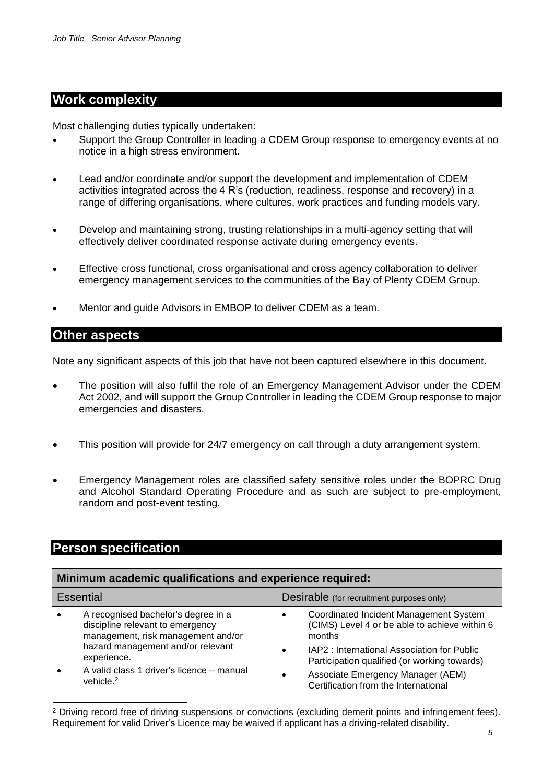### **Work complexity**

Most challenging duties typically undertaken:

- Support the Group Controller in leading a CDEM Group response to emergency events at no notice in a high stress environment.
- Lead and/or coordinate and/or support the development and implementation of CDEM activities integrated across the 4 R's (reduction, readiness, response and recovery) in a range of differing organisations, where cultures, work practices and funding models vary.
- Develop and maintaining strong, trusting relationships in a multi-agency setting that will effectively deliver coordinated response activate during emergency events.
- Effective cross functional, cross organisational and cross agency collaboration to deliver emergency management services to the communities of the Bay of Plenty CDEM Group.
- Mentor and guide Advisors in EMBOP to deliver CDEM as a team.

### **Other aspects**

Note any significant aspects of this job that have not been captured elsewhere in this document.

- The position will also fulfil the role of an Emergency Management Advisor under the CDEM Act 2002, and will support the Group Controller in leading the CDEM Group response to major emergencies and disasters.
- This position will provide for 24/7 emergency on call through a duty arrangement system.
- Emergency Management roles are classified safety sensitive roles under the BOPRC Drug and Alcohol Standard Operating Procedure and as such are subject to pre-employment, random and post-event testing.

### **Person specification**

| Minimum academic qualifications and experience required: |                                                                                                                                                    |                                                                                                                                                              |  |
|----------------------------------------------------------|----------------------------------------------------------------------------------------------------------------------------------------------------|--------------------------------------------------------------------------------------------------------------------------------------------------------------|--|
|                                                          | <b>Essential</b>                                                                                                                                   | Desirable (for recruitment purposes only)                                                                                                                    |  |
|                                                          | A recognised bachelor's degree in a<br>discipline relevant to emergency<br>management, risk management and/or<br>hazard management and/or relevant | Coordinated Incident Management System<br>$\bullet$<br>(CIMS) Level 4 or be able to achieve within 6<br>months<br>IAP2: International Association for Public |  |
|                                                          | experience.                                                                                                                                        | Participation qualified (or working towards)                                                                                                                 |  |
|                                                          | A valid class 1 driver's licence – manual<br>vehicle. <sup>2</sup>                                                                                 | Associate Emergency Manager (AEM)<br>٠<br>Certification from the International                                                                               |  |

<sup>2</sup> Driving record free of driving suspensions or convictions (excluding demerit points and infringement fees). Requirement for valid Driver's Licence may be waived if applicant has a driving-related disability.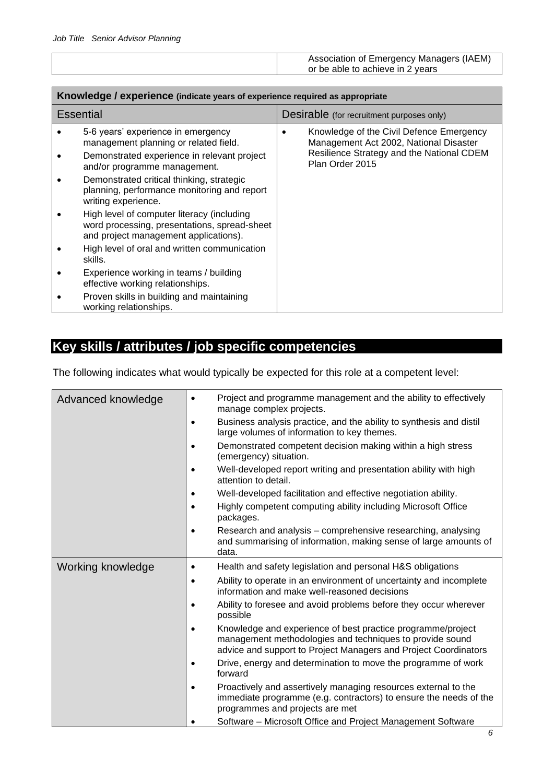| Association of Emergency Managers (IAEM) |  |
|------------------------------------------|--|
| or be able to achieve in 2 years         |  |

| Knowledge / experience (indicate years of experience required as appropriate                                                                               |                                           |                                                                                                                                                    |  |
|------------------------------------------------------------------------------------------------------------------------------------------------------------|-------------------------------------------|----------------------------------------------------------------------------------------------------------------------------------------------------|--|
| <b>Essential</b>                                                                                                                                           | Desirable (for recruitment purposes only) |                                                                                                                                                    |  |
| 5-6 years' experience in emergency<br>management planning or related field.<br>Demonstrated experience in relevant project<br>and/or programme management. |                                           | Knowledge of the Civil Defence Emergency<br>Management Act 2002, National Disaster<br>Resilience Strategy and the National CDEM<br>Plan Order 2015 |  |
| Demonstrated critical thinking, strategic<br>planning, performance monitoring and report<br>writing experience.                                            |                                           |                                                                                                                                                    |  |
| High level of computer literacy (including<br>word processing, presentations, spread-sheet<br>and project management applications).                        |                                           |                                                                                                                                                    |  |
| High level of oral and written communication<br>skills.                                                                                                    |                                           |                                                                                                                                                    |  |
| Experience working in teams / building<br>effective working relationships.                                                                                 |                                           |                                                                                                                                                    |  |
| Proven skills in building and maintaining<br>working relationships.                                                                                        |                                           |                                                                                                                                                    |  |

## **Key skills / attributes / job specific competencies**

The following indicates what would typically be expected for this role at a competent level:

| Advanced knowledge | Project and programme management and the ability to effectively<br>$\bullet$<br>manage complex projects.                                                                                        |
|--------------------|-------------------------------------------------------------------------------------------------------------------------------------------------------------------------------------------------|
|                    | Business analysis practice, and the ability to synthesis and distil<br>٠<br>large volumes of information to key themes.                                                                         |
|                    | Demonstrated competent decision making within a high stress<br>٠<br>(emergency) situation.                                                                                                      |
|                    | Well-developed report writing and presentation ability with high<br>$\bullet$<br>attention to detail.                                                                                           |
|                    | Well-developed facilitation and effective negotiation ability.<br>٠                                                                                                                             |
|                    | Highly competent computing ability including Microsoft Office<br>$\bullet$<br>packages.                                                                                                         |
|                    | Research and analysis – comprehensive researching, analysing<br>٠<br>and summarising of information, making sense of large amounts of<br>data.                                                  |
| Working knowledge  | Health and safety legislation and personal H&S obligations<br>$\bullet$                                                                                                                         |
|                    | Ability to operate in an environment of uncertainty and incomplete<br>$\bullet$<br>information and make well-reasoned decisions                                                                 |
|                    | Ability to foresee and avoid problems before they occur wherever<br>٠<br>possible                                                                                                               |
|                    | Knowledge and experience of best practice programme/project<br>٠<br>management methodologies and techniques to provide sound<br>advice and support to Project Managers and Project Coordinators |
|                    | Drive, energy and determination to move the programme of work<br>forward                                                                                                                        |
|                    | Proactively and assertively managing resources external to the<br>٠<br>immediate programme (e.g. contractors) to ensure the needs of the<br>programmes and projects are met                     |
|                    | Software - Microsoft Office and Project Management Software                                                                                                                                     |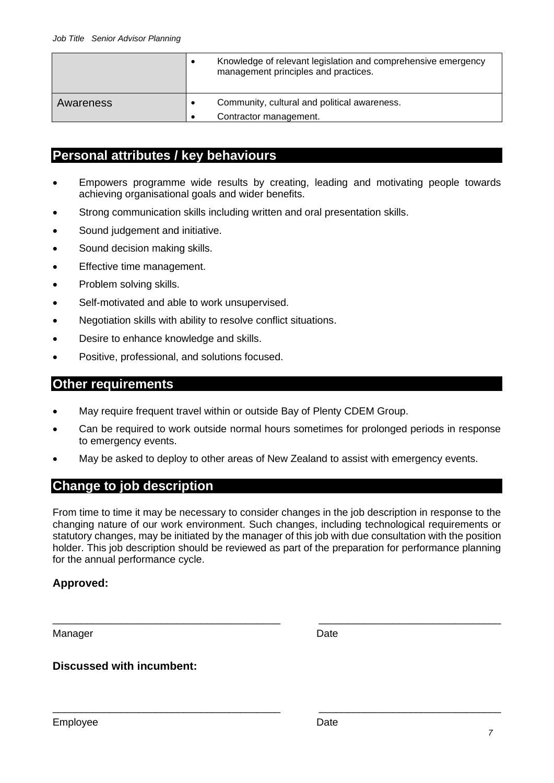|           | Knowledge of relevant legislation and comprehensive emergency<br>management principles and practices. |
|-----------|-------------------------------------------------------------------------------------------------------|
| Awareness | Community, cultural and political awareness.                                                          |
|           | Contractor management.                                                                                |

### **Personal attributes / key behaviours**

- Empowers programme wide results by creating, leading and motivating people towards achieving organisational goals and wider benefits.
- Strong communication skills including written and oral presentation skills.
- Sound judgement and initiative.
- Sound decision making skills.
- Effective time management.
- Problem solving skills.
- Self-motivated and able to work unsupervised.
- Negotiation skills with ability to resolve conflict situations.
- Desire to enhance knowledge and skills.
- Positive, professional, and solutions focused.

### **Other requirements**

- May require frequent travel within or outside Bay of Plenty CDEM Group.
- Can be required to work outside normal hours sometimes for prolonged periods in response to emergency events.
- May be asked to deploy to other areas of New Zealand to assist with emergency events.

### **Change to job description**

From time to time it may be necessary to consider changes in the job description in response to the changing nature of our work environment. Such changes, including technological requirements or statutory changes, may be initiated by the manager of this job with due consultation with the position holder. This job description should be reviewed as part of the preparation for performance planning for the annual performance cycle.

\_\_\_\_\_\_\_\_\_\_\_\_\_\_\_\_\_\_\_\_\_\_\_\_\_\_\_\_\_\_\_\_\_\_\_\_\_\_\_\_ \_\_\_\_\_\_\_\_\_\_\_\_\_\_\_\_\_\_\_\_\_\_\_\_\_\_\_\_\_\_\_\_

\_\_\_\_\_\_\_\_\_\_\_\_\_\_\_\_\_\_\_\_\_\_\_\_\_\_\_\_\_\_\_\_\_\_\_\_\_\_\_\_ \_\_\_\_\_\_\_\_\_\_\_\_\_\_\_\_\_\_\_\_\_\_\_\_\_\_\_\_\_\_\_\_

### **Approved:**

Manager Date **Date** 

### **Discussed with incumbent:**